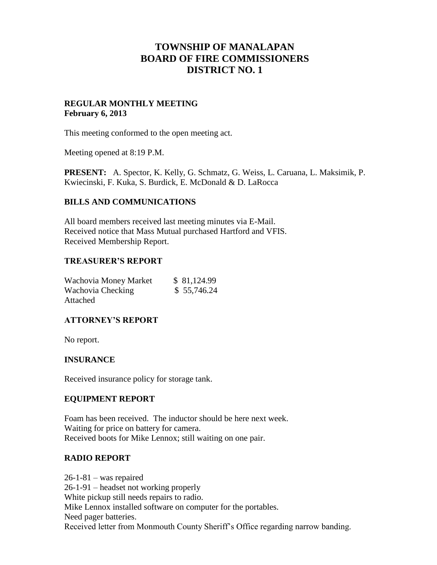# **TOWNSHIP OF MANALAPAN BOARD OF FIRE COMMISSIONERS DISTRICT NO. 1**

# **REGULAR MONTHLY MEETING February 6, 2013**

This meeting conformed to the open meeting act.

Meeting opened at 8:19 P.M.

**PRESENT:** A. Spector, K. Kelly, G. Schmatz, G. Weiss, L. Caruana, L. Maksimik, P. Kwiecinski, F. Kuka, S. Burdick, E. McDonald & D. LaRocca

# **BILLS AND COMMUNICATIONS**

All board members received last meeting minutes via E-Mail. Received notice that Mass Mutual purchased Hartford and VFIS. Received Membership Report.

#### **TREASURER'S REPORT**

| Wachovia Money Market | \$81,124.99 |
|-----------------------|-------------|
| Wachovia Checking     | \$55,746.24 |
| Attached              |             |

# **ATTORNEY'S REPORT**

No report.

# **INSURANCE**

Received insurance policy for storage tank.

#### **EQUIPMENT REPORT**

Foam has been received. The inductor should be here next week. Waiting for price on battery for camera. Received boots for Mike Lennox; still waiting on one pair.

#### **RADIO REPORT**

 $26-1-81$  – was repaired 26-1-91 – headset not working properly White pickup still needs repairs to radio. Mike Lennox installed software on computer for the portables. Need pager batteries. Received letter from Monmouth County Sheriff's Office regarding narrow banding.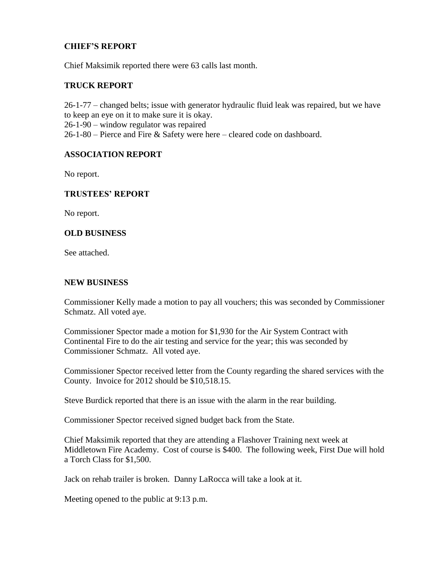# **CHIEF'S REPORT**

Chief Maksimik reported there were 63 calls last month.

# **TRUCK REPORT**

26-1-77 – changed belts; issue with generator hydraulic fluid leak was repaired, but we have to keep an eye on it to make sure it is okay. 26-1-90 – window regulator was repaired 26-1-80 – Pierce and Fire & Safety were here – cleared code on dashboard.

# **ASSOCIATION REPORT**

No report.

# **TRUSTEES' REPORT**

No report.

#### **OLD BUSINESS**

See attached.

#### **NEW BUSINESS**

Commissioner Kelly made a motion to pay all vouchers; this was seconded by Commissioner Schmatz. All voted aye.

Commissioner Spector made a motion for \$1,930 for the Air System Contract with Continental Fire to do the air testing and service for the year; this was seconded by Commissioner Schmatz. All voted aye.

Commissioner Spector received letter from the County regarding the shared services with the County. Invoice for 2012 should be \$10,518.15.

Steve Burdick reported that there is an issue with the alarm in the rear building.

Commissioner Spector received signed budget back from the State.

Chief Maksimik reported that they are attending a Flashover Training next week at Middletown Fire Academy. Cost of course is \$400. The following week, First Due will hold a Torch Class for \$1,500.

Jack on rehab trailer is broken. Danny LaRocca will take a look at it.

Meeting opened to the public at 9:13 p.m.